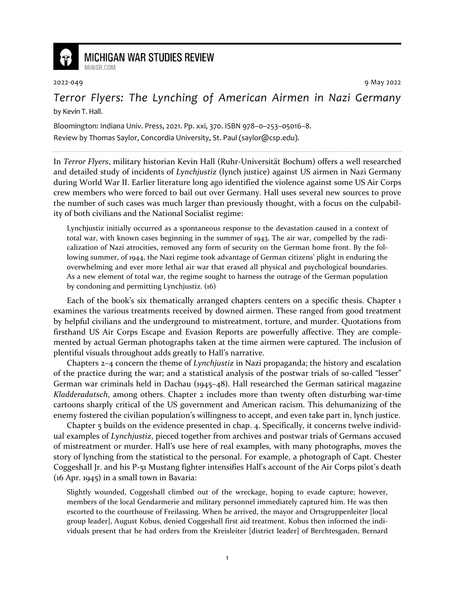

## **MICHIGAN WAR STUDIES REVIEW**

MiWSR COM

2022-049 9 May 2022

*Terror Flyers: The Lynching of American Airmen in Nazi Germany* by Kevin T. Hall.

Bloomington: Indiana Univ. Press, 2021. Pp. xxi, 370. ISBN 978–0–253–05016–8.

Review by Thomas Saylor, Concordia University, St. Paul (saylor@csp.edu).

In *Terror Flyers*, military historian Kevin Hall (Ruhr-Universität Bochum) offers a well researched and detailed study of incidents of *Lynchjustiz* (lynch justice) against US airmen in Nazi Germany during World War II. Earlier literature long ago identified the violence against some US Air Corps crew members who were forced to bail out over Germany. Hall uses several new sources to prove the number of such cases was much larger than previously thought, with a focus on the culpability of both civilians and the National Socialist regime:

Lynchjustiz initially occurred as a spontaneous response to the devastation caused in a context of total war, with known cases beginning in the summer of 1943. The air war, compelled by the radicalization of Nazi atrocities, removed any form of security on the German home front. By the following summer, of 1944, the Nazi regime took advantage of German citizens' plight in enduring the overwhelming and ever more lethal air war that erased all physical and psychological boundaries. As a new element of total war, the regime sought to harness the outrage of the German population by condoning and permitting Lynchjustiz. (16)

Each of the book's six thematically arranged chapters centers on a specific thesis. Chapter 1 examines the various treatments received by downed airmen. These ranged from good treatment by helpful civilians and the underground to mistreatment, torture, and murder. Quotations from firsthand US Air Corps Escape and Evasion Reports are powerfully affective. They are complemented by actual German photographs taken at the time airmen were captured. The inclusion of plentiful visuals throughout adds greatly to Hall's narrative.

Chapters 2–4 concern the theme of *Lynchjustiz* in Nazi propaganda; the history and escalation of the practice during the war; and a statistical analysis of the postwar trials of so-called "lesser" German war criminals held in Dachau (1945–48). Hall researched the German satirical magazine *Kladderadatsch*, among others. Chapter 2 includes more than twenty often disturbing war-time cartoons sharply critical of the US government and American racism. This dehumanizing of the enemy fostered the civilian population's willingness to accept, and even take part in, lynch justice.

Chapter 5 builds on the evidence presented in chap. 4. Specifically, it concerns twelve individual examples of *Lynchjustiz*, pieced together from archives and postwar trials of Germans accused of mistreatment or murder. Hall's use here of real examples, with many photographs, moves the story of lynching from the statistical to the personal. For example, a photograph of Capt. Chester Coggeshall Jr. and his P-51 Mustang fighter intensifies Hall's account of the Air Corps pilot's death (16 Apr. 1945) in a small town in Bavaria:

Slightly wounded, Coggeshall climbed out of the wreckage, hoping to evade capture; however, members of the local Gendarmerie and military personnel immediately captured him. He was then escorted to the courthouse of Freilassing. When he arrived, the mayor and Ortsgruppenleiter [local group leader], August Kobus, denied Coggeshall first aid treatment. Kobus then informed the individuals present that he had orders from the Kreisleiter [district leader] of Berchtesgaden, Bernard